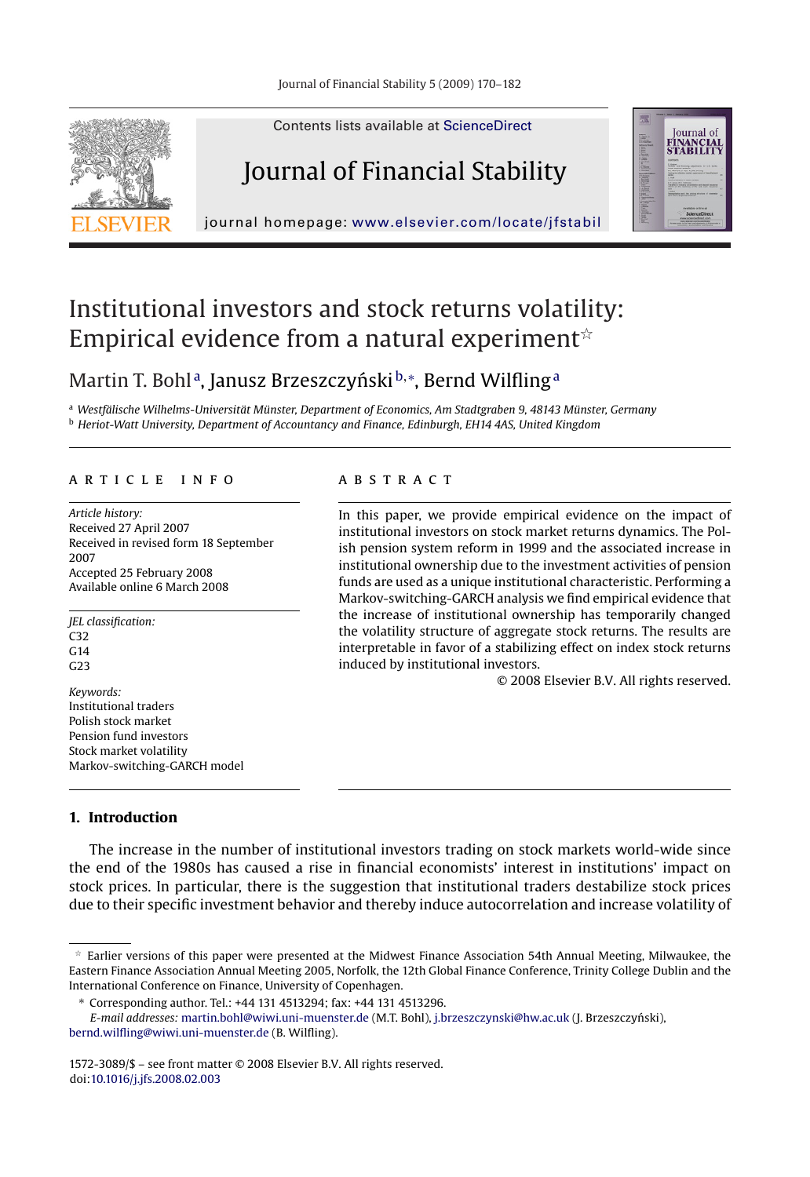

Contents lists available at [ScienceDirect](http://www.sciencedirect.com/science/journal/15723089)

# Journal of Financial Stability

journal homepage: [www.elsevier.com/locate/jfstabil](http://www.elsevier.com/locate/jfstabil)



## Institutional investors and stock returns volatility: Empirical evidence from a natural experiment $^{\scriptscriptstyle\mathrm{\star}}$

### Martin T. Bohlª, Janusz Brzeszczyński<sup>b,</sup>\*, Bernd Wilflingª

<sup>a</sup> Westfälische Wilhelms-Universität Münster, Department of Economics, Am Stadtgraben 9, 48143 Münster, Germany <sup>b</sup> *Heriot-Watt University, Department of Accountancy and Finance, Edinburgh, EH14 4AS, United Kingdom*

#### article info

*Article history:* Received 27 April 2007 Received in revised form 18 September 2007 Accepted 25 February 2008 Available online 6 March 2008

*JEL classification:* C32  $G<sub>14</sub>$ G23

*Keywords:* Institutional traders Polish stock market Pension fund investors Stock market volatility Markov-switching-GARCH model

#### **1. Introduction**

**ABSTRACT** 

In this paper, we provide empirical evidence on the impact of institutional investors on stock market returns dynamics. The Polish pension system reform in 1999 and the associated increase in institutional ownership due to the investment activities of pension funds are used as a unique institutional characteristic. Performing a Markov-switching-GARCH analysis we find empirical evidence that the increase of institutional ownership has temporarily changed the volatility structure of aggregate stock returns. The results are interpretable in favor of a stabilizing effect on index stock returns induced by institutional investors.

© 2008 Elsevier B.V. All rights reserved.

The increase in the number of institutional investors trading on stock markets world-wide since the end of the 1980s has caused a rise in financial economists' interest in institutions' impact on stock prices. In particular, there is the suggestion that institutional traders destabilize stock prices due to their specific investment behavior and thereby induce autocorrelation and increase volatility of

1572-3089/\$ – see front matter © 2008 Elsevier B.V. All rights reserved. doi[:10.1016/j.jfs.2008.02.003](dx.doi.org/10.1016/j.jfs.2008.02.003)

 $*$  Earlier versions of this paper were presented at the Midwest Finance Association 54th Annual Meeting, Milwaukee, the Eastern Finance Association Annual Meeting 2005, Norfolk, the 12th Global Finance Conference, Trinity College Dublin and the International Conference on Finance, University of Copenhagen.

<sup>∗</sup> Corresponding author. Tel.: +44 131 4513294; fax: +44 131 4513296.

*E-mail addresses:* [martin.bohl@wiwi.uni-muenster.de](mailto:martin.bohl@wiwi.uni-muenster.de) (M.T. Bohl), [j.brzeszczynski@hw.ac.uk](mailto:j.brzeszczynski@hw.ac.uk) (J. Brzeszczynski), ´ [bernd.wilfling@wiwi.uni-muenster.de](mailto:bernd.wilfling@wiwi.uni-muenster.de) (B. Wilfling).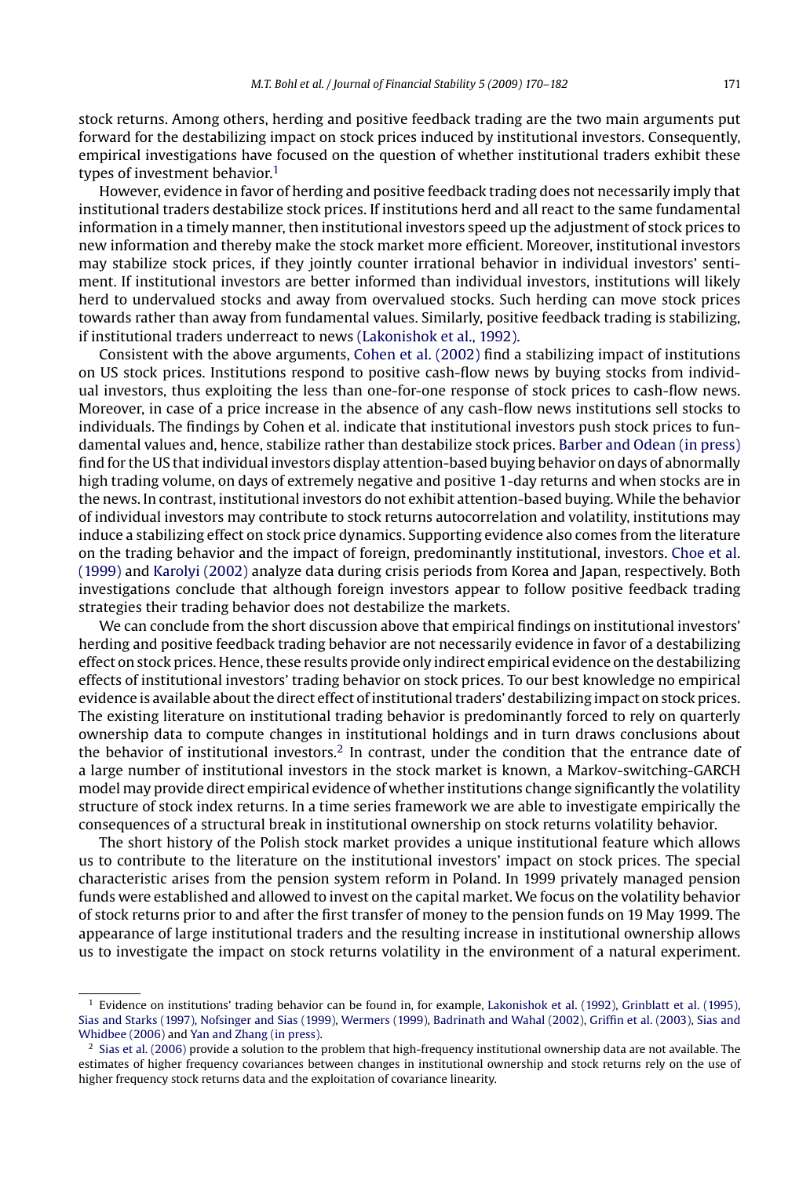stock returns. Among others, herding and positive feedback trading are the two main arguments put forward for the destabilizing impact on stock prices induced by institutional investors. Consequently, empirical investigations have focused on the question of whether institutional traders exhibit these types of investment behavior.<sup>1</sup>

However, evidence in favor of herding and positive feedback trading does not necessarily imply that institutional traders destabilize stock prices. If institutions herd and all react to the same fundamental information in a timely manner, then institutional investors speed up the adjustment of stock prices to new information and thereby make the stock market more efficient. Moreover, institutional investors may stabilize stock prices, if they jointly counter irrational behavior in individual investors' sentiment. If institutional investors are better informed than individual investors, institutions will likely herd to undervalued stocks and away from overvalued stocks. Such herding can move stock prices towards rather than away from fundamental values. Similarly, positive feedback trading is stabilizing, if institutional traders underreact to news [\(Lakonishok et al., 1992\).](#page--1-0)

Consistent with the above arguments, [Cohen et al. \(2002\)](#page--1-0) find a stabilizing impact of institutions on US stock prices. Institutions respond to positive cash-flow news by buying stocks from individual investors, thus exploiting the less than one-for-one response of stock prices to cash-flow news. Moreover, in case of a price increase in the absence of any cash-flow news institutions sell stocks to individuals. The findings by Cohen et al. indicate that institutional investors push stock prices to fundamental values and, hence, stabilize rather than destabilize stock prices. [Barber and Odean \(in press\)](#page--1-0) find for the US that individual investors display attention-based buying behavior on days of abnormally high trading volume, on days of extremely negative and positive 1-day returns and when stocks are in the news. In contrast, institutional investors do not exhibit attention-based buying. While the behavior of individual investors may contribute to stock returns autocorrelation and volatility, institutions may induce a stabilizing effect on stock price dynamics. Supporting evidence also comes from the literature on the trading behavior and the impact of foreign, predominantly institutional, investors. [Choe et al.](#page--1-0) [\(1999\)](#page--1-0) and [Karolyi \(2002\)](#page--1-0) analyze data during crisis periods from Korea and Japan, respectively. Both investigations conclude that although foreign investors appear to follow positive feedback trading strategies their trading behavior does not destabilize the markets.

We can conclude from the short discussion above that empirical findings on institutional investors' herding and positive feedback trading behavior are not necessarily evidence in favor of a destabilizing effect on stock prices. Hence, these results provide only indirect empirical evidence on the destabilizing effects of institutional investors' trading behavior on stock prices. To our best knowledge no empirical evidence is available about the direct effect of institutional traders' destabilizing impact on stock prices. The existing literature on institutional trading behavior is predominantly forced to rely on quarterly ownership data to compute changes in institutional holdings and in turn draws conclusions about the behavior of institutional investors.<sup>2</sup> In contrast, under the condition that the entrance date of a large number of institutional investors in the stock market is known, a Markov-switching-GARCH model may provide direct empirical evidence of whether institutions change significantly the volatility structure of stock index returns. In a time series framework we are able to investigate empirically the consequences of a structural break in institutional ownership on stock returns volatility behavior.

The short history of the Polish stock market provides a unique institutional feature which allows us to contribute to the literature on the institutional investors' impact on stock prices. The special characteristic arises from the pension system reform in Poland. In 1999 privately managed pension funds were established and allowed to invest on the capital market. We focus on the volatility behavior of stock returns prior to and after the first transfer of money to the pension funds on 19 May 1999. The appearance of large institutional traders and the resulting increase in institutional ownership allows us to investigate the impact on stock returns volatility in the environment of a natural experiment.

<sup>1</sup> Evidence on institutions' trading behavior can be found in, for example, [Lakonishok et al. \(1992\),](#page--1-0) [Grinblatt et al. \(1995\),](#page--1-0) [Sias and Starks \(1997\),](#page--1-0) [Nofsinger and Sias \(1999\),](#page--1-0) [Wermers \(1999\),](#page--1-0) [Badrinath and Wahal \(2002\),](#page--1-0) [Griffin et al. \(2003\),](#page--1-0) [Sias and](#page--1-0) [Whidbee \(2006\)](#page--1-0) and [Yan and Zhang \(in press\).](#page--1-0)

 $2$  [Sias et al. \(2006\)](#page--1-0) provide a solution to the problem that high-frequency institutional ownership data are not available. The estimates of higher frequency covariances between changes in institutional ownership and stock returns rely on the use of higher frequency stock returns data and the exploitation of covariance linearity.